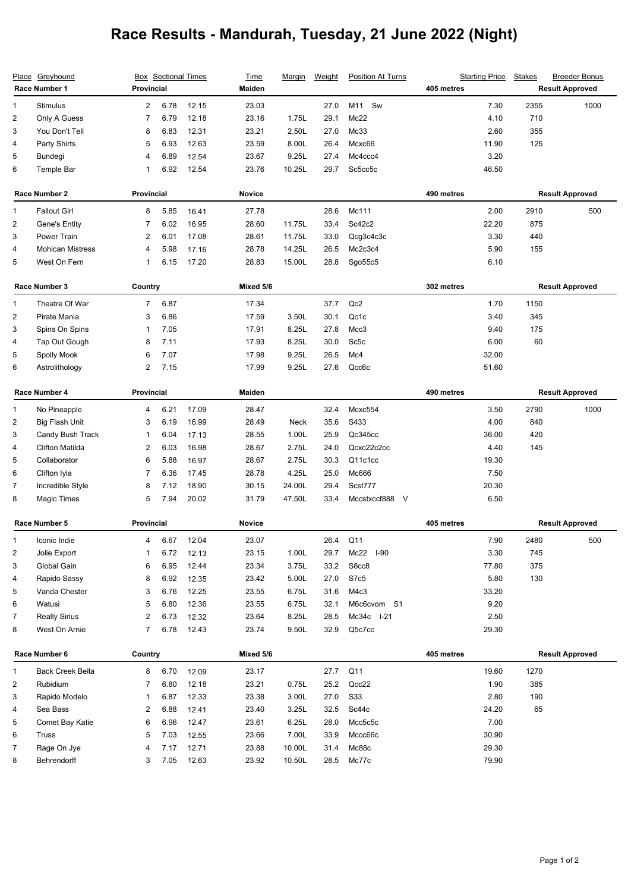## **Race Results - Mandurah, Tuesday, 21 June 2022 (Night)**

| Place Greyhound<br>Race Number 1 |                         | <b>Box</b> Sectional Times<br>Provincial |         |               | <b>Time</b><br>Maiden | <u>Marqin</u> | Weight | <b>Position At Turns</b>             | <b>Starting Price</b><br>405 metres | <b>Stakes</b>          | <b>Breeder Bonus</b><br><b>Result Approved</b> |
|----------------------------------|-------------------------|------------------------------------------|---------|---------------|-----------------------|---------------|--------|--------------------------------------|-------------------------------------|------------------------|------------------------------------------------|
| 1                                | Stimulus                | $\overline{2}$                           | 6.78    | 12.15         | 23.03                 |               | 27.0   | M11<br>Sw                            | 7.30                                | 2355                   | 1000                                           |
| 2                                | Only A Guess            | 7                                        | 6.79    | 12.18         | 23.16                 | 1.75L         | 29.1   | Mc22                                 | 4.10                                | 710                    |                                                |
| 3                                | You Don't Tell          | 8                                        | 6.83    | 12.31         | 23.21                 | 2.50L         | 27.0   | Mc33                                 | 2.60                                | 355                    |                                                |
| 4                                | Party Shirts            | 5                                        | 6.93    | 12.63         | 23.59                 | 8.00L         | 26.4   | Mcxc66                               | 11.90                               | 125                    |                                                |
| 5                                | Bundegi                 | 4                                        | 6.89    | 12.54         | 23.67                 | 9.25L         | 27.4   | Mc4ccc4                              | 3.20                                |                        |                                                |
| 6                                | Temple Bar              | 1                                        | 6.92    | 12.54         | 23.76                 | 10.25L        | 29.7   | Sc5cc5c                              | 46.50                               |                        |                                                |
| Race Number 2                    |                         | <b>Provincial</b>                        |         |               | <b>Novice</b>         |               |        |                                      | 490 metres                          | <b>Result Approved</b> |                                                |
| 1                                | <b>Fallout Girl</b>     | 8                                        | 5.85    | 16.41         | 27.78                 |               | 28.6   | Mc111                                | 2.00                                | 2910                   | 500                                            |
| 2                                | Gene's Entity           | 7                                        | 6.02    | 16.95         | 28.60                 | 11.75L        | 33.4   | Sc42c2                               | 22.20                               | 875                    |                                                |
| 3                                | Power Train             | 2                                        | 6.01    | 17.08         | 28.61                 | 11.75L        | 33.0   | Qcg3c4c3c                            | 3.30                                | 440                    |                                                |
| 4                                | <b>Mohican Mistress</b> | 4                                        | 5.98    | 17.16         | 28.78                 | 14.25L        | 26.5   | Mc2c3c4                              | 5.90                                | 155                    |                                                |
| 5                                | West On Fern            | 1                                        | 6.15    | 17.20         | 28.83                 | 15.00L        | 28.8   | Sgo55c5                              | 6.10                                |                        |                                                |
|                                  | Race Number 3           |                                          | Country |               | Mixed 5/6             |               |        |                                      | 302 metres                          | <b>Result Approved</b> |                                                |
| 1                                | Theatre Of War          | $\overline{7}$                           | 6.87    |               | 17.34                 |               | 37.7   | Qc2                                  | 1.70                                | 1150                   |                                                |
| 2                                | Pirate Mania            | 3                                        | 6.86    |               | 17.59                 | 3.50L         | 30.1   | Qc1c                                 | 3.40                                | 345                    |                                                |
| 3                                | Spins On Spins          | 1                                        | 7.05    |               | 17.91                 | 8.25L         | 27.8   | Mcc3                                 | 9.40                                | 175                    |                                                |
| 4                                | Tap Out Gough           | 8                                        | 7.11    |               | 17.93                 | 8.25L         | 30.0   | Sc <sub>5c</sub>                     | 6.00                                | 60                     |                                                |
| 5                                | Spolly Mook             | 6                                        | 7.07    |               | 17.98                 | 9.25L         | 26.5   | Mc4                                  | 32.00                               |                        |                                                |
| 6                                | Astrolithology          | 2                                        | 7.15    |               | 17.99                 | 9.25L         | 27.6   | Qcc6c                                | 51.60                               |                        |                                                |
| Race Number 4                    |                         | <b>Provincial</b>                        |         | Maiden        |                       |               |        | 490 metres<br><b>Result Approved</b> |                                     |                        |                                                |
| 1                                | No Pineapple            | 4                                        | 6.21    | 17.09         | 28.47                 |               | 32.4   | Mcxc554                              | 3.50                                | 2790                   | 1000                                           |
| $\overline{c}$                   | Big Flash Unit          | 3                                        | 6.19    | 16.99         | 28.49                 | Neck          | 35.6   | S433                                 | 4.00                                | 840                    |                                                |
| 3                                | Candy Bush Track        | 1                                        | 6.04    | 17.13         | 28.55                 | 1.00L         | 25.9   | Qc345cc                              | 36.00                               | 420                    |                                                |
| 4                                | Clifton Matilda         | 2                                        | 6.03    | 16.98         | 28.67                 | 2.75L         | 24.0   | Qcxc22c2cc                           | 4.40                                | 145                    |                                                |
| 5                                | Collaborator            | 6                                        | 5.88    | 16.97         | 28.67                 | 2.75L         | 30.3   | Q11c1cc                              | 19.30                               |                        |                                                |
| 6                                | Clifton Iyla            | 7                                        | 6.36    | 17.45         | 28.78                 | 4.25L         | 25.0   | Mc666                                | 7.50                                |                        |                                                |
| $\overline{7}$                   | Incredible Style        | 8                                        | 7.12    | 18.90         | 30.15                 | 24.00L        | 29.4   | Scst777                              | 20.30                               |                        |                                                |
| 8                                | <b>Magic Times</b>      | 5                                        | 7.94    | 20.02         | 31.79                 | 47.50L        | 33.4   | Mccstxccf888 V                       | 6.50                                |                        |                                                |
|                                  | Race Number 5           | <b>Provincial</b>                        |         | <b>Novice</b> |                       |               |        | 405 metres                           | <b>Result Approved</b>              |                        |                                                |
| 1                                | Iconic Indie            | 4                                        | 6.67    | 12.04         | 23.07                 |               | 26.4   | Q11                                  | 7.90                                | 2480                   | 500                                            |
| 2                                | Jolie Export            | 1                                        | 6.72    | 12.13         | 23.15                 | 1.00L         | 29.7   | Mc22<br>$I-90$                       | 3.30                                | 745                    |                                                |
| 3                                | Global Gain             | 6                                        | 6.95    | 12.44         | 23.34                 | 3.75L         | 33.2   | S8cc8                                | 77.80                               | 375                    |                                                |
| 4                                | Rapido Sassy            | 8                                        | 6.92    | 12.35         | 23.42                 | 5.00L         | 27.0   | S7c5                                 | 5.80                                | 130                    |                                                |
| 5                                | Vanda Chester           | 3                                        | 6.76    | 12.25         | 23.55                 | 6.75L         | 31.6   | M4c3                                 | 33.20                               |                        |                                                |
| 6                                | Watusi                  | 5                                        | 6.80    | 12.36         | 23.55                 | 6.75L         | 32.1   | M6c6cvom S1                          | 9.20                                |                        |                                                |
| $\overline{7}$                   | <b>Really Sirius</b>    | 2                                        | 6.73    | 12.32         | 23.64                 | 8.25L         | 28.5   | Mc34c I-21                           | 2.50                                |                        |                                                |
| 8                                | West On Arnie           | $\overline{7}$                           | 6.78    | 12.43         | 23.74                 | 9.50L         | 32.9   | Q5c7cc                               | 29.30                               |                        |                                                |
|                                  | Race Number 6           | Country                                  |         |               | Mixed 5/6             |               |        |                                      | 405 metres                          |                        | <b>Result Approved</b>                         |
|                                  |                         |                                          |         |               |                       |               |        |                                      |                                     |                        |                                                |
| 1                                | <b>Back Creek Bella</b> | 8                                        | 6.70    | 12.09         | 23.17                 |               | 27.7   | Q11                                  | 19.60                               | 1270                   |                                                |
| 2                                | Rubidium                | 7                                        | 6.80    | 12.18         | 23.21                 | 0.75L         | 25.2   | Qcc22                                | 1.90                                | 385                    |                                                |
| 3                                | Rapido Modelo           | 1                                        | 6.87    | 12.33         | 23.38                 | 3.00L         | 27.0   | <b>S33</b>                           | 2.80                                | 190                    |                                                |
| 4                                | Sea Bass                | $\overline{\mathbf{c}}$                  | 6.88    | 12.41         | 23.40                 | 3.25L         | 32.5   | Sc44c                                | 24.20                               | 65                     |                                                |
| 5                                | Comet Bay Katie         | 6                                        | 6.96    | 12.47         | 23.61                 | 6.25L         | 28.0   | Mcc5c5c                              | 7.00                                |                        |                                                |
| 6                                | Truss                   | 5                                        | 7.03    | 12.55         | 23.66                 | 7.00L         | 33.9   | Mccc66c                              | 30.90                               |                        |                                                |
| $\overline{7}$                   | Rage On Jye             | 4                                        | 7.17    | 12.71         | 23.88                 | 10.00L        | 31.4   | Mc88c                                | 29.30                               |                        |                                                |
| 8                                | Behrendorff             | 3                                        | 7.05    | 12.63         | 23.92                 | 10.50L        | 28.5   | Mc77c                                | 79.90                               |                        |                                                |